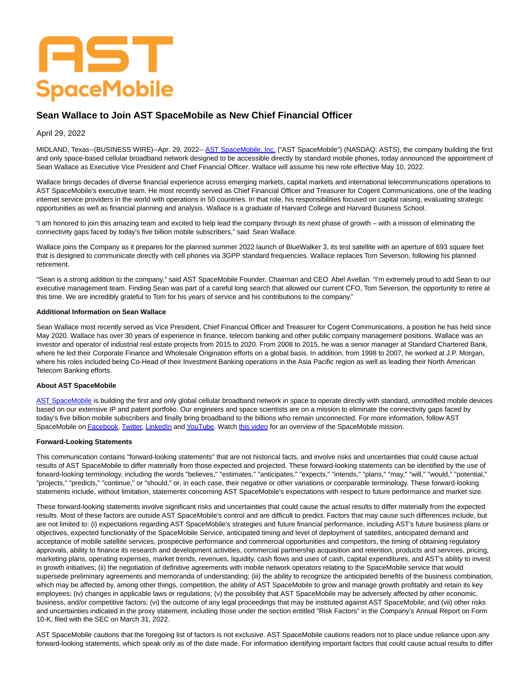# AST **SpaceMobile**

# **Sean Wallace to Join AST SpaceMobile as New Chief Financial Officer**

# April 29, 2022

MIDLAND, Texas--(BUSINESS WIRE)--Apr. 29, 2022-- [AST SpaceMobile, Inc. \(](https://cts.businesswire.com/ct/CT?id=smartlink&url=https%3A%2F%2Fast-science.com%2Fspacemobile%2F&esheet=52701524&newsitemid=20220429005158&lan=en-US&anchor=AST+SpaceMobile%2C+Inc.&index=1&md5=4b19dd31b1c9d9716a889a05cf4a4f5b)"AST SpaceMobile") (NASDAQ: ASTS), the company building the first and only space-based cellular broadband network designed to be accessible directly by standard mobile phones, today announced the appointment of Sean Wallace as Executive Vice President and Chief Financial Officer. Wallace will assume his new role effective May 10, 2022.

Wallace brings decades of diverse financial experience across emerging markets, capital markets and international telecommunications operations to AST SpaceMobile's executive team. He most recently served as Chief Financial Officer and Treasurer for Cogent Communications, one of the leading internet service providers in the world with operations in 50 countries. In that role, his responsibilities focused on capital raising, evaluating strategic opportunities as well as financial planning and analysis. Wallace is a graduate of Harvard College and Harvard Business School.

"I am honored to join this amazing team and excited to help lead the company through its next phase of growth – with a mission of eliminating the connectivity gaps faced by today's five billion mobile subscribers," said Sean Wallace.

Wallace joins the Company as it prepares for the planned summer 2022 launch of BlueWalker 3, its test satellite with an aperture of 693 square feet that is designed to communicate directly with cell phones via 3GPP standard frequencies. Wallace replaces Tom Severson, following his planned retirement.

"Sean is a strong addition to the company," said AST SpaceMobile Founder, Chairman and CEO Abel Avellan. "I'm extremely proud to add Sean to our executive management team. Finding Sean was part of a careful long search that allowed our current CFO, Tom Severson, the opportunity to retire at this time. We are incredibly grateful to Tom for his years of service and his contributions to the company."

#### **Additional Information on Sean Wallace**

Sean Wallace most recently served as Vice President, Chief Financial Officer and Treasurer for Cogent Communications, a position he has held since May 2020. Wallace has over 30 years of experience in finance, telecom banking and other public company management positions. Wallace was an investor and operator of industrial real estate projects from 2015 to 2020. From 2008 to 2015, he was a senior manager at Standard Chartered Bank, where he led their Corporate Finance and Wholesale Origination efforts on a global basis. In addition, from 1998 to 2007, he worked at J.P. Morgan, where his roles included being Co-Head of their Investment Banking operations in the Asia Pacific region as well as leading their North American Telecom Banking efforts.

### **About AST SpaceMobile**

[AST SpaceMobile i](https://cts.businesswire.com/ct/CT?id=smartlink&url=https%3A%2F%2Fast-science.com%2F&esheet=52701524&newsitemid=20220429005158&lan=en-US&anchor=AST+SpaceMobile&index=2&md5=3b2616baa251cc63e167f5049286630e)s building the first and only global cellular broadband network in space to operate directly with standard, unmodified mobile devices based on our extensive IP and patent portfolio. Our engineers and space scientists are on a mission to eliminate the connectivity gaps faced by today's five billion mobile subscribers and finally bring broadband to the billions who remain unconnected. For more information, follow AST SpaceMobile o[n Facebook,](https://cts.businesswire.com/ct/CT?id=smartlink&url=https%3A%2F%2Fwww.facebook.com%2FASTSpaceMobile&esheet=52701524&newsitemid=20220429005158&lan=en-US&anchor=Facebook&index=3&md5=2a08f94271415acdb48051389ec3c4c7) [Twitter,](https://cts.businesswire.com/ct/CT?id=smartlink&url=https%3A%2F%2Ftwitter.com%2FAST_SpaceMobile&esheet=52701524&newsitemid=20220429005158&lan=en-US&anchor=Twitter&index=4&md5=0b1818ef0776df351e310ac17bbe4c44) [LinkedIn a](https://cts.businesswire.com/ct/CT?id=smartlink&url=https%3A%2F%2Fwww.linkedin.com%2Fcompany%2Fast-spacemobile%2F&esheet=52701524&newsitemid=20220429005158&lan=en-US&anchor=LinkedIn&index=5&md5=5332c610a251f1ebe8ce130797ea0dd8)n[d YouTube.](https://cts.businesswire.com/ct/CT?id=smartlink&url=https%3A%2F%2Fwww.youtube.com%2Fchannel%2FUCDr2JePebZFY-vwQaZueftg&esheet=52701524&newsitemid=20220429005158&lan=en-US&anchor=YouTube&index=6&md5=d5c12f9f1c735772c630fb07ae9d2104) Watch [this video f](https://cts.businesswire.com/ct/CT?id=smartlink&url=https%3A%2F%2Fwww.youtube.com%2Fwatch%3Fv%3DifnIv0Iz_i0&esheet=52701524&newsitemid=20220429005158&lan=en-US&anchor=this+video&index=7&md5=768854b8b7dd99d730718dfb7f0f303f)or an overview of the SpaceMobile mission.

# **Forward-Looking Statements**

This communication contains "forward-looking statements" that are not historical facts, and involve risks and uncertainties that could cause actual results of AST SpaceMobile to differ materially from those expected and projected. These forward-looking statements can be identified by the use of forward-looking terminology, including the words "believes," "estimates," "anticipates," "expects," "intends," "plans," "may," "will," "would," "potential," "projects," "predicts," "continue," or "should," or, in each case, their negative or other variations or comparable terminology. These forward-looking statements include, without limitation, statements concerning AST SpaceMobile's expectations with respect to future performance and market size.

These forward-looking statements involve significant risks and uncertainties that could cause the actual results to differ materially from the expected results. Most of these factors are outside AST SpaceMobile's control and are difficult to predict. Factors that may cause such differences include, but are not limited to: (i) expectations regarding AST SpaceMobile's strategies and future financial performance, including AST's future business plans or objectives, expected functionality of the SpaceMobile Service, anticipated timing and level of deployment of satellites, anticipated demand and acceptance of mobile satellite services, prospective performance and commercial opportunities and competitors, the timing of obtaining regulatory approvals, ability to finance its research and development activities, commercial partnership acquisition and retention, products and services, pricing, marketing plans, operating expenses, market trends, revenues, liquidity, cash flows and uses of cash, capital expenditures, and AST's ability to invest in growth initiatives; (ii) the negotiation of definitive agreements with mobile network operators relating to the SpaceMobile service that would supersede preliminary agreements and memoranda of understanding; (iii) the ability to recognize the anticipated benefits of the business combination, which may be affected by, among other things, competition, the ability of AST SpaceMobile to grow and manage growth profitably and retain its key employees; (iv) changes in applicable laws or regulations; (v) the possibility that AST SpaceMobile may be adversely affected by other economic, business, and/or competitive factors; (vi) the outcome of any legal proceedings that may be instituted against AST SpaceMobile; and (vii) other risks and uncertainties indicated in the proxy statement, including those under the section entitled "Risk Factors" in the Company's Annual Report on Form 10-K, filed with the SEC on March 31, 2022.

AST SpaceMobile cautions that the foregoing list of factors is not exclusive. AST SpaceMobile cautions readers not to place undue reliance upon any forward-looking statements, which speak only as of the date made. For information identifying important factors that could cause actual results to differ